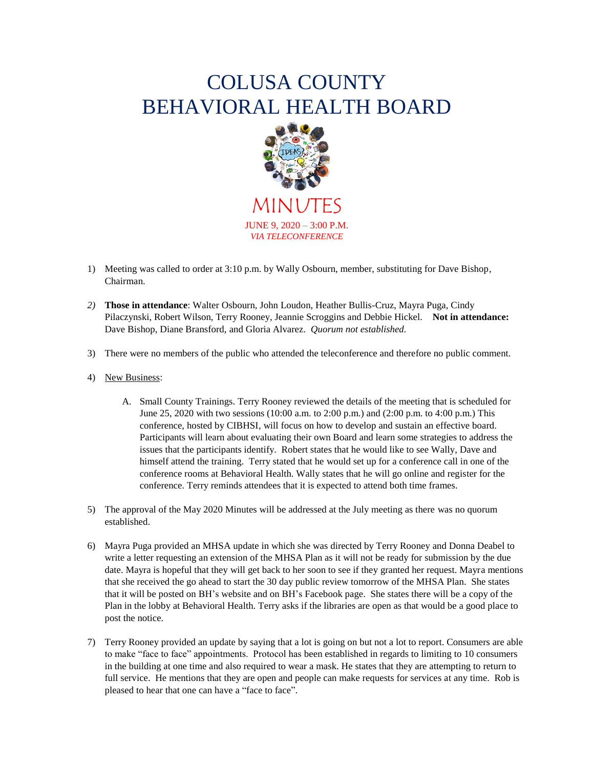## COLUSA COUNTY BEHAVIORAL HEALTH BOARD



JUNE 9, 2020 – 3:00 P.M. *VIA TELECONFERENCE*

- 1) Meeting was called to order at 3:10 p.m. by Wally Osbourn, member, substituting for Dave Bishop, Chairman.
- *2)* **Those in attendance**: Walter Osbourn, John Loudon, Heather Bullis-Cruz, Mayra Puga, Cindy Pilaczynski, Robert Wilson, Terry Rooney, Jeannie Scroggins and Debbie Hickel. **Not in attendance:**  Dave Bishop, Diane Bransford, and Gloria Alvarez. *Quorum not established.*
- 3) There were no members of the public who attended the teleconference and therefore no public comment.
- 4) New Business:
	- A. Small County Trainings. Terry Rooney reviewed the details of the meeting that is scheduled for June 25, 2020 with two sessions (10:00 a.m. to 2:00 p.m.) and (2:00 p.m. to 4:00 p.m.) This conference, hosted by CIBHSI, will focus on how to develop and sustain an effective board. Participants will learn about evaluating their own Board and learn some strategies to address the issues that the participants identify. Robert states that he would like to see Wally, Dave and himself attend the training. Terry stated that he would set up for a conference call in one of the conference rooms at Behavioral Health. Wally states that he will go online and register for the conference. Terry reminds attendees that it is expected to attend both time frames.
- 5) The approval of the May 2020 Minutes will be addressed at the July meeting as there was no quorum established.
- 6) Mayra Puga provided an MHSA update in which she was directed by Terry Rooney and Donna Deabel to write a letter requesting an extension of the MHSA Plan as it will not be ready for submission by the due date. Mayra is hopeful that they will get back to her soon to see if they granted her request. Mayra mentions that she received the go ahead to start the 30 day public review tomorrow of the MHSA Plan. She states that it will be posted on BH's website and on BH's Facebook page. She states there will be a copy of the Plan in the lobby at Behavioral Health. Terry asks if the libraries are open as that would be a good place to post the notice.
- 7) Terry Rooney provided an update by saying that a lot is going on but not a lot to report. Consumers are able to make "face to face" appointments. Protocol has been established in regards to limiting to 10 consumers in the building at one time and also required to wear a mask. He states that they are attempting to return to full service. He mentions that they are open and people can make requests for services at any time. Rob is pleased to hear that one can have a "face to face".